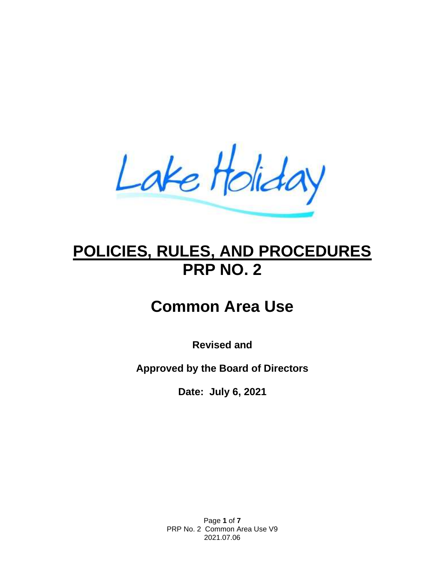Lake Holiday

# **POLICIES, RULES, AND PROCEDURES PRP NO. 2**

# **Common Area Use**

**Revised and**

**Approved by the Board of Directors**

**Date: July 6, 2021**

Page **1** of **7** PRP No. 2 Common Area Use V9 2021.07.06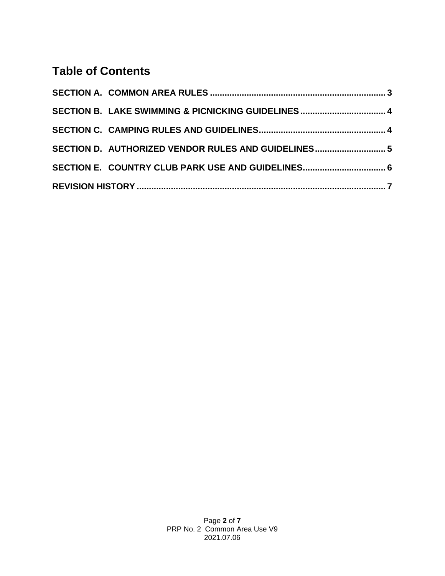## **Table of Contents**

| SECTION B. LAKE SWIMMING & PICNICKING GUIDELINES 4  |  |
|-----------------------------------------------------|--|
|                                                     |  |
| SECTION D. AUTHORIZED VENDOR RULES AND GUIDELINES 5 |  |
|                                                     |  |
|                                                     |  |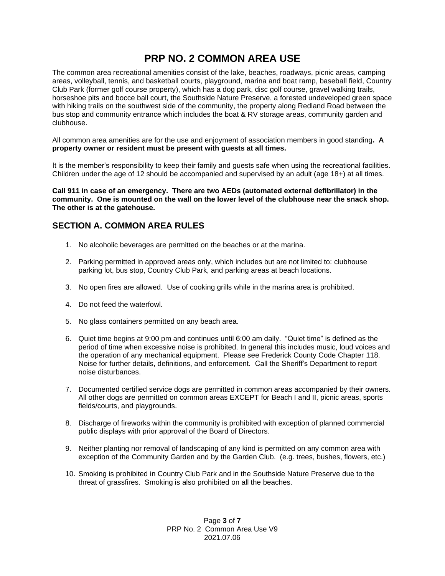### **PRP NO. 2 COMMON AREA USE**

The common area recreational amenities consist of the lake, beaches, roadways, picnic areas, camping areas, volleyball, tennis, and basketball courts, playground, marina and boat ramp, baseball field, Country Club Park (former golf course property), which has a dog park, disc golf course, gravel walking trails, horseshoe pits and bocce ball court, the Southside Nature Preserve, a forested undeveloped green space with hiking trails on the southwest side of the community, the property along Redland Road between the bus stop and community entrance which includes the boat & RV storage areas, community garden and clubhouse.

All common area amenities are for the use and enjoyment of association members in good standing**. A property owner or resident must be present with guests at all times.**

It is the member's responsibility to keep their family and guests safe when using the recreational facilities. Children under the age of 12 should be accompanied and supervised by an adult (age 18+) at all times.

**Call 911 in case of an emergency. There are two AEDs (automated external defibrillator) in the community. One is mounted on the wall on the lower level of the clubhouse near the snack shop. The other is at the gatehouse.**

#### <span id="page-2-0"></span>**SECTION A. COMMON AREA RULES**

- 1. No alcoholic beverages are permitted on the beaches or at the marina.
- 2. Parking permitted in approved areas only, which includes but are not limited to: clubhouse parking lot, bus stop, Country Club Park, and parking areas at beach locations.
- 3. No open fires are allowed. Use of cooking grills while in the marina area is prohibited.
- 4. Do not feed the waterfowl.
- 5. No glass containers permitted on any beach area.
- 6. Quiet time begins at 9:00 pm and continues until 6:00 am daily. "Quiet time" is defined as the period of time when excessive noise is prohibited. In general this includes music, loud voices and the operation of any mechanical equipment. Please see Frederick County Code Chapter 118. Noise for further details, definitions, and enforcement. Call the Sheriff's Department to report noise disturbances.
- 7. Documented certified service dogs are permitted in common areas accompanied by their owners. All other dogs are permitted on common areas EXCEPT for Beach I and II, picnic areas, sports fields/courts, and playgrounds.
- 8. Discharge of fireworks within the community is prohibited with exception of planned commercial public displays with prior approval of the Board of Directors.
- 9. Neither planting nor removal of landscaping of any kind is permitted on any common area with exception of the Community Garden and by the Garden Club. (e.g. trees, bushes, flowers, etc.)
- 10. Smoking is prohibited in Country Club Park and in the Southside Nature Preserve due to the threat of grassfires. Smoking is also prohibited on all the beaches.

Page **3** of **7** PRP No. 2 Common Area Use V9 2021.07.06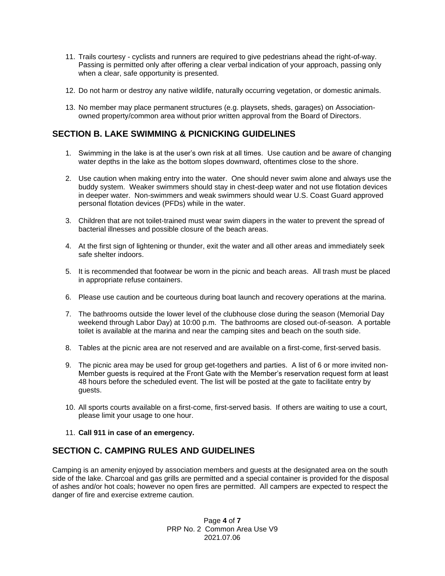- 11. Trails courtesy cyclists and runners are required to give pedestrians ahead the right-of-way. Passing is permitted only after offering a clear verbal indication of your approach, passing only when a clear, safe opportunity is presented.
- 12. Do not harm or destroy any native wildlife, naturally occurring vegetation, or domestic animals.
- 13. No member may place permanent structures (e.g. playsets, sheds, garages) on Associationowned property/common area without prior written approval from the Board of Directors.

#### <span id="page-3-0"></span>**SECTION B. LAKE SWIMMING & PICNICKING GUIDELINES**

- 1. Swimming in the lake is at the user's own risk at all times. Use caution and be aware of changing water depths in the lake as the bottom slopes downward, oftentimes close to the shore.
- 2. Use caution when making entry into the water. One should never swim alone and always use the buddy system. Weaker swimmers should stay in chest-deep water and not use flotation devices in deeper water. Non-swimmers and weak swimmers should wear U.S. Coast Guard approved personal flotation devices (PFDs) while in the water.
- 3. Children that are not toilet-trained must wear swim diapers in the water to prevent the spread of bacterial illnesses and possible closure of the beach areas.
- 4. At the first sign of lightening or thunder, exit the water and all other areas and immediately seek safe shelter indoors.
- 5. It is recommended that footwear be worn in the picnic and beach areas. All trash must be placed in appropriate refuse containers.
- 6. Please use caution and be courteous during boat launch and recovery operations at the marina.
- 7. The bathrooms outside the lower level of the clubhouse close during the season (Memorial Day weekend through Labor Day) at 10:00 p.m. The bathrooms are closed out-of-season. A portable toilet is available at the marina and near the camping sites and beach on the south side.
- 8. Tables at the picnic area are not reserved and are available on a first-come, first-served basis.
- 9. The picnic area may be used for group get-togethers and parties. A list of 6 or more invited non-Member guests is required at the Front Gate with the Member's reservation request form at least 48 hours before the scheduled event. The list will be posted at the gate to facilitate entry by guests.
- 10. All sports courts available on a first-come, first-served basis. If others are waiting to use a court, please limit your usage to one hour.
- 11. **Call 911 in case of an emergency.**

#### <span id="page-3-1"></span>**SECTION C. CAMPING RULES AND GUIDELINES**

Camping is an amenity enjoyed by association members and guests at the designated area on the south side of the lake. Charcoal and gas grills are permitted and a special container is provided for the disposal of ashes and/or hot coals; however no open fires are permitted. All campers are expected to respect the danger of fire and exercise extreme caution.

> Page **4** of **7** PRP No. 2 Common Area Use V9 2021.07.06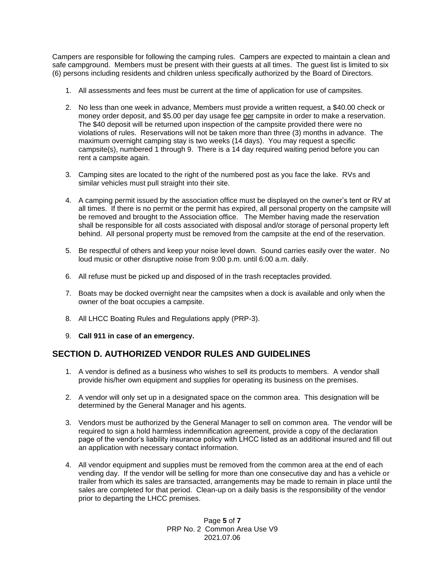Campers are responsible for following the camping rules. Campers are expected to maintain a clean and safe campground. Members must be present with their guests at all times. The guest list is limited to six (6) persons including residents and children unless specifically authorized by the Board of Directors.

- 1. All assessments and fees must be current at the time of application for use of campsites.
- 2. No less than one week in advance, Members must provide a written request, a \$40.00 check or money order deposit, and \$5.00 per day usage fee per campsite in order to make a reservation. The \$40 deposit will be returned upon inspection of the campsite provided there were no violations of rules. Reservations will not be taken more than three (3) months in advance. The maximum overnight camping stay is two weeks (14 days). You may request a specific campsite(s), numbered 1 through 9. There is a 14 day required waiting period before you can rent a campsite again.
- 3. Camping sites are located to the right of the numbered post as you face the lake. RVs and similar vehicles must pull straight into their site.
- 4. A camping permit issued by the association office must be displayed on the owner's tent or RV at all times. If there is no permit or the permit has expired, all personal property on the campsite will be removed and brought to the Association office. The Member having made the reservation shall be responsible for all costs associated with disposal and/or storage of personal property left behind. All personal property must be removed from the campsite at the end of the reservation.
- 5. Be respectful of others and keep your noise level down. Sound carries easily over the water. No loud music or other disruptive noise from 9:00 p.m. until 6:00 a.m. daily.
- 6. All refuse must be picked up and disposed of in the trash receptacles provided.
- 7. Boats may be docked overnight near the campsites when a dock is available and only when the owner of the boat occupies a campsite.
- 8. All LHCC Boating Rules and Regulations apply (PRP-3).
- 9. **Call 911 in case of an emergency.**

#### <span id="page-4-0"></span>**SECTION D. AUTHORIZED VENDOR RULES AND GUIDELINES**

- 1. A vendor is defined as a business who wishes to sell its products to members. A vendor shall provide his/her own equipment and supplies for operating its business on the premises.
- 2. A vendor will only set up in a designated space on the common area. This designation will be determined by the General Manager and his agents.
- 3. Vendors must be authorized by the General Manager to sell on common area. The vendor will be required to sign a hold harmless indemnification agreement, provide a copy of the declaration page of the vendor's liability insurance policy with LHCC listed as an additional insured and fill out an application with necessary contact information.
- 4. All vendor equipment and supplies must be removed from the common area at the end of each vending day. If the vendor will be selling for more than one consecutive day and has a vehicle or trailer from which its sales are transacted, arrangements may be made to remain in place until the sales are completed for that period. Clean-up on a daily basis is the responsibility of the vendor prior to departing the LHCC premises.

Page **5** of **7** PRP No. 2 Common Area Use V9 2021.07.06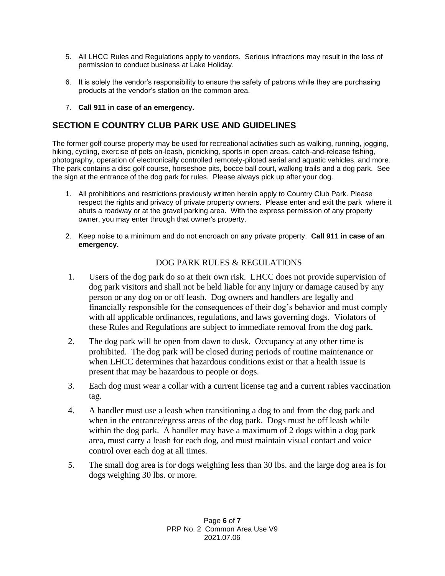- 5. All LHCC Rules and Regulations apply to vendors. Serious infractions may result in the loss of permission to conduct business at Lake Holiday.
- 6. It is solely the vendor's responsibility to ensure the safety of patrons while they are purchasing products at the vendor's station on the common area.
- 7. **Call 911 in case of an emergency.**

### <span id="page-5-0"></span>**SECTION E COUNTRY CLUB PARK USE AND GUIDELINES**

The former golf course property may be used for recreational activities such as walking, running, jogging, hiking, cycling, exercise of pets on-leash, picnicking, sports in open areas, catch-and-release fishing, photography, operation of electronically controlled remotely-piloted aerial and aquatic vehicles, and more. The park contains a disc golf course, horseshoe pits, bocce ball court, walking trails and a dog park. See the sign at the entrance of the dog park for rules. Please always pick up after your dog.

- 1. All prohibitions and restrictions previously written herein apply to Country Club Park. Please respect the rights and privacy of private property owners. Please enter and exit the park where it abuts a roadway or at the gravel parking area. With the express permission of any property owner, you may enter through that owner's property.
- 2. Keep noise to a minimum and do not encroach on any private property. **Call 911 in case of an emergency.**

#### DOG PARK RULES & REGULATIONS

- 1. Users of the dog park do so at their own risk. LHCC does not provide supervision of dog park visitors and shall not be held liable for any injury or damage caused by any person or any dog on or off leash. Dog owners and handlers are legally and financially responsible for the consequences of their dog's behavior and must comply with all applicable ordinances, regulations, and laws governing dogs. Violators of these Rules and Regulations are subject to immediate removal from the dog park.
- 2. The dog park will be open from dawn to dusk. Occupancy at any other time is prohibited. The dog park will be closed during periods of routine maintenance or when LHCC determines that hazardous conditions exist or that a health issue is present that may be hazardous to people or dogs.
- 3. Each dog must wear a collar with a current license tag and a current rabies vaccination tag.
- 4. A handler must use a leash when transitioning a dog to and from the dog park and when in the entrance/egress areas of the dog park. Dogs must be off leash while within the dog park. A handler may have a maximum of 2 dogs within a dog park area, must carry a leash for each dog, and must maintain visual contact and voice control over each dog at all times.
- 5. The small dog area is for dogs weighing less than 30 lbs. and the large dog area is for dogs weighing 30 lbs. or more.

Page **6** of **7** PRP No. 2 Common Area Use V9 2021.07.06